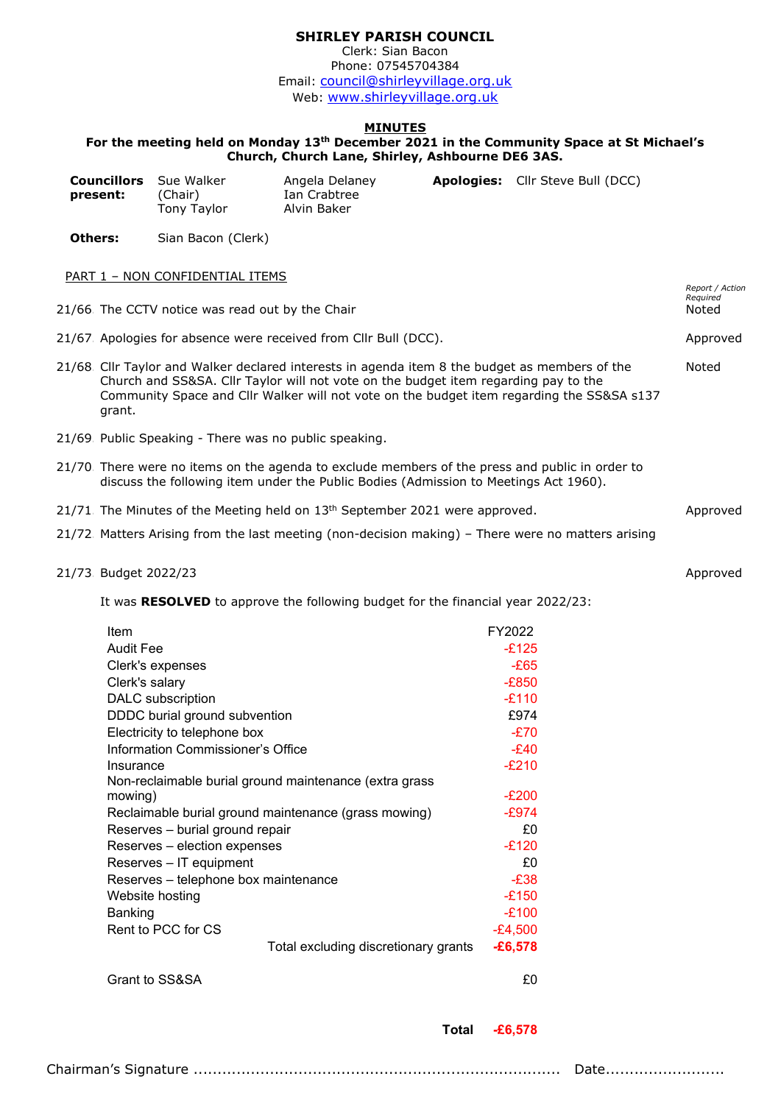## **SHIRLEY PARISH COUNCIL**

Clerk: Sian Bacon Phone: 07545704384 Email: [council@shirleyvillage.org.uk](mailto:council@shirleyvillage.org.uk) Web: [www.shirleyvillage.org.uk](http://www.shirleyvillage.org.uk/)

## **MINUTES**

## **For the meeting held on Monday 13th December 2021 in the Community Space at St Michael's Church, Church Lane, Shirley, Ashbourne DE6 3AS.**

|         | <b>Councillors</b><br>present:                                                  | Sue Walker<br>(Chair)<br>Tony Taylor                  | Angela Delaney<br>Ian Crabtree<br>Alvin Baker                                                                                                                                           |  | Apologies: Cllr Steve Bull (DCC)                                                                   |                   |
|---------|---------------------------------------------------------------------------------|-------------------------------------------------------|-----------------------------------------------------------------------------------------------------------------------------------------------------------------------------------------|--|----------------------------------------------------------------------------------------------------|-------------------|
| Others: |                                                                                 | Sian Bacon (Clerk)                                    |                                                                                                                                                                                         |  |                                                                                                    |                   |
|         |                                                                                 | <b>PART 1 - NON CONFIDENTIAL ITEMS</b>                |                                                                                                                                                                                         |  |                                                                                                    | Report / Action   |
|         |                                                                                 | 21/66. The CCTV notice was read out by the Chair      |                                                                                                                                                                                         |  |                                                                                                    | Required<br>Noted |
|         |                                                                                 |                                                       | 21/67. Apologies for absence were received from Cllr Bull (DCC).                                                                                                                        |  |                                                                                                    | Approved          |
|         | grant.                                                                          |                                                       | 21/68. Cllr Taylor and Walker declared interests in agenda item 8 the budget as members of the<br>Church and SS&SA. Cllr Taylor will not vote on the budget item regarding pay to the   |  | Community Space and Cllr Walker will not vote on the budget item regarding the SS&SA s137          | Noted             |
|         |                                                                                 | 21/69 Public Speaking - There was no public speaking. |                                                                                                                                                                                         |  |                                                                                                    |                   |
|         |                                                                                 |                                                       | 21/70. There were no items on the agenda to exclude members of the press and public in order to<br>discuss the following item under the Public Bodies (Admission to Meetings Act 1960). |  |                                                                                                    |                   |
|         |                                                                                 |                                                       | 21/71. The Minutes of the Meeting held on 13 <sup>th</sup> September 2021 were approved.                                                                                                |  |                                                                                                    | Approved          |
|         |                                                                                 |                                                       |                                                                                                                                                                                         |  | 21/72. Matters Arising from the last meeting (non-decision making) – There were no matters arising |                   |
|         | 21/73 Budget 2022/23                                                            |                                                       |                                                                                                                                                                                         |  |                                                                                                    | Approved          |
|         | It was RESOLVED to approve the following budget for the financial year 2022/23: |                                                       |                                                                                                                                                                                         |  |                                                                                                    |                   |
|         | Item                                                                            |                                                       |                                                                                                                                                                                         |  | FY2022                                                                                             |                   |
|         | <b>Audit Fee</b>                                                                |                                                       |                                                                                                                                                                                         |  | $-E125$                                                                                            |                   |
|         |                                                                                 | Clerk's expenses                                      |                                                                                                                                                                                         |  | $-E65$                                                                                             |                   |
|         | Clerk's salary                                                                  |                                                       |                                                                                                                                                                                         |  | $-F850$                                                                                            |                   |

| Clerk's expenses                                       | -£65      |
|--------------------------------------------------------|-----------|
| Clerk's salary                                         | $-E850$   |
| DALC subscription                                      | $-E110$   |
| DDDC burial ground subvention                          | £974      |
| Electricity to telephone box                           | $-E70$    |
| Information Commissioner's Office                      | $-E40$    |
| Insurance                                              | $-E210$   |
| Non-reclaimable burial ground maintenance (extra grass |           |
| mowing)                                                | $-E200$   |
| Reclaimable burial ground maintenance (grass mowing)   | -£974     |
| Reserves - burial ground repair                        | £0        |
| Reserves - election expenses                           | $-E120$   |
| Reserves - IT equipment                                | £0        |
| Reserves - telephone box maintenance                   | $-E38$    |
| Website hosting                                        | $-E150$   |
| Banking                                                | $-£100$   |
| Rent to PCC for CS                                     | $-E4,500$ |
| Total excluding discretionary grants                   | $-£6,578$ |
| Grant to SS&SA                                         | £0        |

**Total -£6,578**

Chairman's Signature ............................................................................. Date.........................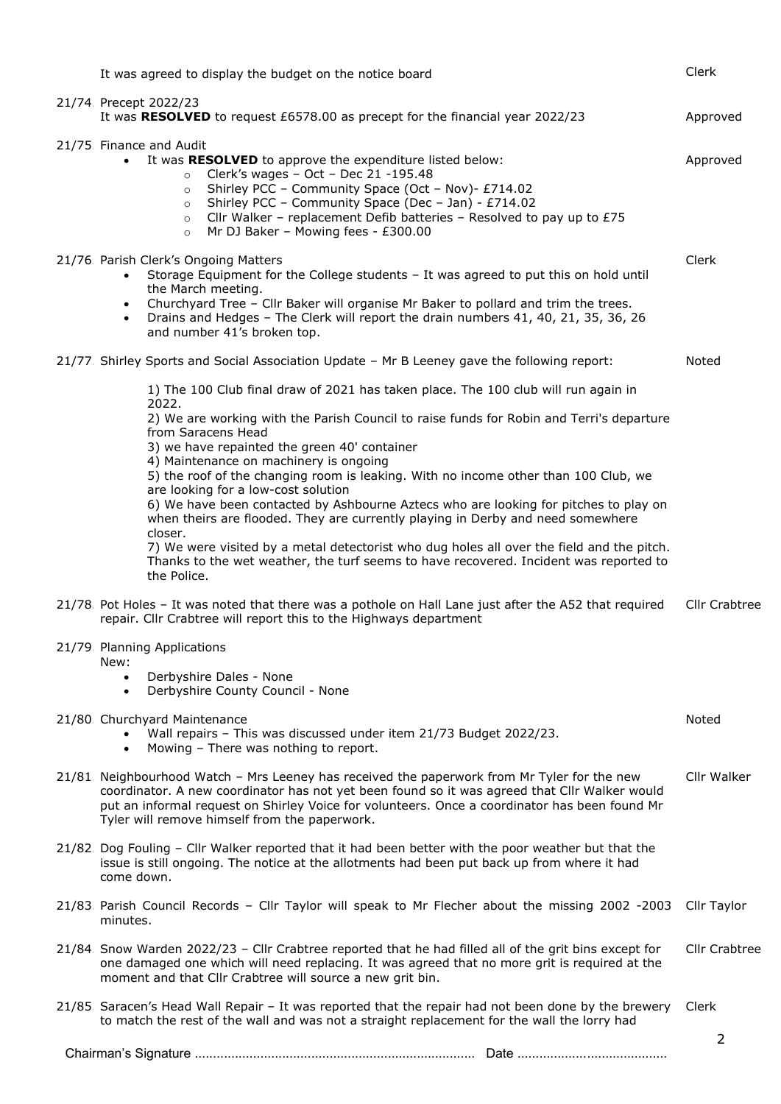| It was agreed to display the budget on the notice board                                                                                                                                                                                                                                                                                                                                                                                                                                                                                                                                                                                                                                                                  | Clerk          |  |
|--------------------------------------------------------------------------------------------------------------------------------------------------------------------------------------------------------------------------------------------------------------------------------------------------------------------------------------------------------------------------------------------------------------------------------------------------------------------------------------------------------------------------------------------------------------------------------------------------------------------------------------------------------------------------------------------------------------------------|----------------|--|
| 21/74 Precept 2022/23<br>It was RESOLVED to request £6578.00 as precept for the financial year 2022/23                                                                                                                                                                                                                                                                                                                                                                                                                                                                                                                                                                                                                   | Approved       |  |
| 21/75 Finance and Audit<br>It was RESOLVED to approve the expenditure listed below:<br>$\bullet$<br>Clerk's wages - Oct - Dec 21 -195.48<br>$\circ$<br>Shirley PCC - Community Space (Oct - Nov)- £714.02<br>$\circ$<br>Shirley PCC - Community Space (Dec - Jan) - £714.02<br>$\circ$<br>Cllr Walker - replacement Defib batteries - Resolved to pay up to £75<br>$\circ$<br>Mr DJ Baker - Mowing fees - £300.00<br>$\circ$                                                                                                                                                                                                                                                                                             | Approved       |  |
| 21/76 Parish Clerk's Ongoing Matters<br>Storage Equipment for the College students - It was agreed to put this on hold until<br>the March meeting.<br>Churchyard Tree - Cllr Baker will organise Mr Baker to pollard and trim the trees.<br>$\bullet$<br>Drains and Hedges - The Clerk will report the drain numbers 41, 40, 21, 35, 36, 26<br>$\bullet$<br>and number 41's broken top.                                                                                                                                                                                                                                                                                                                                  | Clerk          |  |
| 21/77. Shirley Sports and Social Association Update - Mr B Leeney gave the following report:                                                                                                                                                                                                                                                                                                                                                                                                                                                                                                                                                                                                                             | Noted          |  |
| 1) The 100 Club final draw of 2021 has taken place. The 100 club will run again in<br>2022.<br>2) We are working with the Parish Council to raise funds for Robin and Terri's departure<br>from Saracens Head<br>3) we have repainted the green 40' container<br>4) Maintenance on machinery is ongoing<br>5) the roof of the changing room is leaking. With no income other than 100 Club, we<br>are looking for a low-cost solution<br>6) We have been contacted by Ashbourne Aztecs who are looking for pitches to play on<br>when theirs are flooded. They are currently playing in Derby and need somewhere<br>closer.<br>7) We were visited by a metal detectorist who dug holes all over the field and the pitch. |                |  |
| Thanks to the wet weather, the turf seems to have recovered. Incident was reported to<br>the Police.<br>21/78. Pot Holes - It was noted that there was a pothole on Hall Lane just after the A52 that required                                                                                                                                                                                                                                                                                                                                                                                                                                                                                                           | Cllr Crabtree  |  |
| repair. Cllr Crabtree will report this to the Highways department<br>21/79 Planning Applications<br>New:<br>Derbyshire Dales - None<br>Derbyshire County Council - None<br>$\bullet$                                                                                                                                                                                                                                                                                                                                                                                                                                                                                                                                     |                |  |
| 21/80 Churchyard Maintenance<br>Wall repairs - This was discussed under item 21/73 Budget 2022/23.<br>Mowing - There was nothing to report.<br>$\bullet$                                                                                                                                                                                                                                                                                                                                                                                                                                                                                                                                                                 | Noted          |  |
| 21/81. Neighbourhood Watch - Mrs Leeney has received the paperwork from Mr Tyler for the new<br>coordinator. A new coordinator has not yet been found so it was agreed that Cllr Walker would<br>put an informal request on Shirley Voice for volunteers. Once a coordinator has been found Mr<br>Tyler will remove himself from the paperwork.                                                                                                                                                                                                                                                                                                                                                                          | Cllr Walker    |  |
| 21/82. Dog Fouling - Cllr Walker reported that it had been better with the poor weather but that the<br>issue is still ongoing. The notice at the allotments had been put back up from where it had<br>come down.                                                                                                                                                                                                                                                                                                                                                                                                                                                                                                        |                |  |
| 21/83 Parish Council Records - Cllr Taylor will speak to Mr Flecher about the missing 2002 -2003<br>minutes.                                                                                                                                                                                                                                                                                                                                                                                                                                                                                                                                                                                                             | Cllr Taylor    |  |
| 21/84 Snow Warden 2022/23 - Cllr Crabtree reported that he had filled all of the grit bins except for<br>one damaged one which will need replacing. It was agreed that no more grit is required at the<br>moment and that Cllr Crabtree will source a new grit bin.                                                                                                                                                                                                                                                                                                                                                                                                                                                      |                |  |
| 21/85. Saracen's Head Wall Repair - It was reported that the repair had not been done by the brewery<br>to match the rest of the wall and was not a straight replacement for the wall the lorry had                                                                                                                                                                                                                                                                                                                                                                                                                                                                                                                      | Clerk          |  |
|                                                                                                                                                                                                                                                                                                                                                                                                                                                                                                                                                                                                                                                                                                                          | $\overline{2}$ |  |